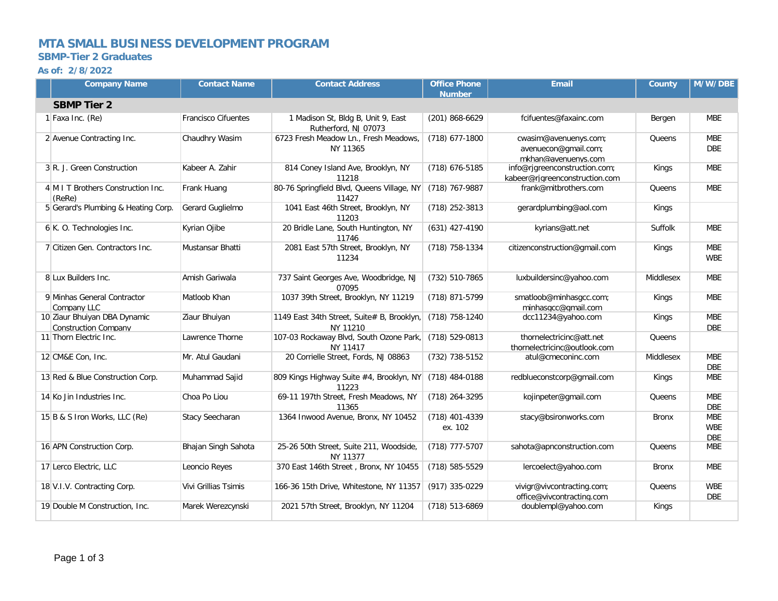## **MTA SMALL BUSINESS DEVELOPMENT PROGRAM**

### **SBMP-Tier 2 Graduates**

#### **As of: 2/8/2022**

|                    | <b>Company Name</b>                                         | <b>Contact Name</b>        | <b>Contact Address</b>                                     | <b>Office Phone</b><br><b>Number</b> | <b>Email</b>                                                         | County         | M/W/DBE                                |  |
|--------------------|-------------------------------------------------------------|----------------------------|------------------------------------------------------------|--------------------------------------|----------------------------------------------------------------------|----------------|----------------------------------------|--|
| <b>SBMP Tier 2</b> |                                                             |                            |                                                            |                                      |                                                                      |                |                                        |  |
|                    | 1 Faxa Inc. (Re)                                            | <b>Francisco Cifuentes</b> | 1 Madison St, Bldg B, Unit 9, East<br>Rutherford, NJ 07073 | (201) 868-6629                       | fcifuentes@faxainc.com                                               | Bergen         | <b>MBE</b>                             |  |
|                    | 2 Avenue Contracting Inc.                                   | Chaudhry Wasim             | 6723 Fresh Meadow Ln., Fresh Meadows,<br>NY 11365          | (718) 677-1800                       | cwasim@avenuenys.com;<br>avenuecon@gmail.com;<br>mkhan@avenuenvs.com | Queens         | <b>MBE</b><br><b>DBE</b>               |  |
|                    | 3 R. J. Green Construction                                  | Kabeer A. Zahir            | 814 Coney Island Ave, Brooklyn, NY<br>11218                | (718) 676-5185                       | info@rjgreenconstruction.com;<br>kabeer@rigreenconstruction.com      | Kings          | <b>MBE</b>                             |  |
|                    | 4 M I T Brothers Construction Inc.<br>(ReRe)                | Frank Huang                | 80-76 Springfield Blvd, Queens Village, NY<br>11427        | (718) 767-9887                       | frank@mitbrothers.com                                                | Queens         | <b>MBE</b>                             |  |
|                    | 5 Gerard's Plumbing & Heating Corp.                         | Gerard Guglielmo           | 1041 East 46th Street, Brooklyn, NY<br>11203               | (718) 252-3813                       | gerardplumbing@aol.com                                               | Kings          |                                        |  |
|                    | 6 K. O. Technologies Inc.                                   | Kyrian Ojibe               | 20 Bridle Lane, South Huntington, NY<br>11746              | $(631)$ 427-4190                     | kyrians@att.net                                                      | <b>Suffolk</b> | <b>MBE</b>                             |  |
|                    | 7 Citizen Gen. Contractors Inc.                             | Mustansar Bhatti           | 2081 East 57th Street, Brooklyn, NY<br>11234               | (718) 758-1334                       | citizenconstruction@gmail.com                                        | Kings          | <b>MBE</b><br><b>WBE</b>               |  |
|                    | 8 Lux Builders Inc.                                         | Amish Gariwala             | 737 Saint Georges Ave, Woodbridge, NJ<br>07095             | (732) 510-7865                       | luxbuildersinc@yahoo.com                                             | Middlesex      | <b>MBE</b>                             |  |
|                    | 9 Minhas General Contractor<br>Company LLC                  | Matloob Khan               | 1037 39th Street, Brooklyn, NY 11219                       | (718) 871-5799                       | smatloob@minhasgcc.com;<br>minhasqcc@qmail.com                       | Kings          | <b>MBE</b>                             |  |
|                    | 10 Ziaur Bhuiyan DBA Dynamic<br><b>Construction Company</b> | Ziaur Bhuiyan              | 1149 East 34th Street, Suite# B, Brooklyn,<br>NY 11210     | (718) 758-1240                       | dcc11234@yahoo.com                                                   | Kings          | <b>MBE</b><br><b>DBE</b>               |  |
|                    | 11 Thorn Electric Inc.                                      | Lawrence Thorne            | 107-03 Rockaway Blvd, South Ozone Park,<br>NY 11417        | $(718) 529 - 0813$                   | thornelectricinc@att.net<br>thornelectricinc@outlook.com             | Queens         |                                        |  |
|                    | 12 CM&E Con, Inc.                                           | Mr. Atul Gaudani           | 20 Corrielle Street, Fords, NJ 08863                       | (732) 738-5152                       | atul@cmeconinc.com                                                   | Middlesex      | <b>MBE</b><br><b>DBE</b>               |  |
|                    | 13 Red & Blue Construction Corp.                            | Muhammad Sajid             | 809 Kings Highway Suite #4, Brooklyn, NY<br>11223          | $(718)$ 484-0188                     | redblueconstcorp@gmail.com                                           | <b>Kings</b>   | <b>MBE</b>                             |  |
|                    | 14 Ko Jin Industries Inc.                                   | Choa Po Liou               | 69-11 197th Street, Fresh Meadows, NY<br>11365             | (718) 264-3295                       | kojinpeter@gmail.com                                                 | Queens         | <b>MBE</b><br><b>DBE</b>               |  |
|                    | 15 B & S Iron Works, LLC (Re)                               | Stacy Seecharan            | 1364 Inwood Avenue, Bronx, NY 10452                        | (718) 401-4339<br>ex. 102            | stacy@bsironworks.com                                                | <b>Bronx</b>   | <b>MBE</b><br><b>WBE</b><br><b>DBE</b> |  |
|                    | 16 APN Construction Corp.                                   | Bhajan Singh Sahota        | 25-26 50th Street, Suite 211, Woodside,<br>NY 11377        | (718) 777-5707                       | sahota@apnconstruction.com                                           | Queens         | <b>MBE</b>                             |  |
|                    | 17 Lerco Electric, LLC                                      | Leoncio Reyes              | 370 East 146th Street, Bronx, NY 10455                     | (718) 585-5529                       | lercoelect@yahoo.com                                                 | Bronx          | <b>MBE</b>                             |  |
|                    | 18 V.I.V. Contracting Corp.                                 | Vivi Grillias Tsimis       | 166-36 15th Drive, Whitestone, NY 11357                    | (917) 335-0229                       | vivigr@vivcontracting.com;<br>office@vivcontracting.com              | Queens         | <b>WBE</b><br><b>DBE</b>               |  |
|                    | 19 Double M Construction, Inc.                              | Marek Werezcynski          | 2021 57th Street, Brooklyn, NY 11204                       | (718) 513-6869                       | doublempl@yahoo.com                                                  | Kings          |                                        |  |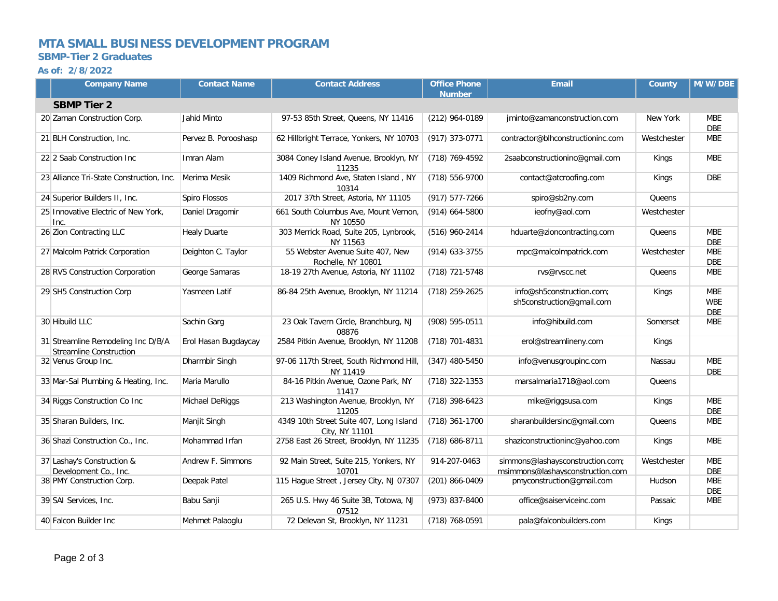# **MTA SMALL BUSINESS DEVELOPMENT PROGRAM**

#### **SBMP-Tier 2 Graduates**

#### **As of: 2/8/2022**

| <b>Company Name</b>                                                  | <b>Contact Name</b>  | <b>Contact Address</b>                                    | <b>Office Phone</b><br><b>Number</b> | <b>Email</b>                                                         | <b>County</b> | M/W/DBE                                |
|----------------------------------------------------------------------|----------------------|-----------------------------------------------------------|--------------------------------------|----------------------------------------------------------------------|---------------|----------------------------------------|
| <b>SBMP Tier 2</b>                                                   |                      |                                                           |                                      |                                                                      |               |                                        |
| 20 Zaman Construction Corp.                                          | Jahid Minto          | 97-53 85th Street, Queens, NY 11416                       | (212) 964-0189                       | jminto@zamanconstruction.com                                         | New York      | <b>MBE</b><br><b>DBE</b>               |
| 21 BLH Construction, Inc.                                            | Pervez B. Porooshasp | 62 Hillbright Terrace, Yonkers, NY 10703                  | (917) 373-0771                       | contractor@blhconstructioninc.com                                    | Westchester   | <b>MBE</b>                             |
| 22 2 Saab Construction Inc                                           | Imran Alam           | 3084 Coney Island Avenue, Brooklyn, NY<br>11235           | (718) 769-4592                       | 2saabconstructioninc@gmail.com                                       | Kings         | <b>MBE</b>                             |
| 23 Alliance Tri-State Construction, Inc.                             | Merima Mesik         | 1409 Richmond Ave, Staten Island, NY<br>10314             | (718) 556-9700                       | contact@atcroofing.com                                               | Kings         | <b>DBE</b>                             |
| 24 Superior Builders II, Inc.                                        | Spiro Flossos        | 2017 37th Street, Astoria, NY 11105                       | (917) 577-7266                       | spiro@sb2ny.com                                                      | Queens        |                                        |
| 25 Innovative Electric of New York,<br>Inc.                          | Daniel Dragomir      | 661 South Columbus Ave, Mount Vernon,<br>NY 10550         | $(914)$ 664-5800                     | ieofny@aol.com                                                       | Westchester   |                                        |
| 26 Zion Contracting LLC                                              | <b>Healy Duarte</b>  | 303 Merrick Road, Suite 205, Lynbrook,<br>NY 11563        | (516) 960-2414                       | hduarte@zioncontracting.com                                          | Queens        | <b>MBE</b><br><b>DBE</b>               |
| 27 Malcolm Patrick Corporation                                       | Deighton C. Taylor   | 55 Webster Avenue Suite 407, New<br>Rochelle, NY 10801    | (914) 633-3755                       | mpc@malcolmpatrick.com                                               | Westchester   | <b>MBE</b><br><b>DBE</b>               |
| 28 RVS Construction Corporation                                      | George Samaras       | 18-19 27th Avenue, Astoria, NY 11102                      | (718) 721-5748                       | rvs@rvscc.net                                                        | Queens        | <b>MBE</b>                             |
| 29 SH5 Construction Corp                                             | Yasmeen Latif        | 86-84 25th Avenue, Brooklyn, NY 11214                     | (718) 259-2625                       | info@sh5construction.com:<br>sh5construction@gmail.com               | Kings         | <b>MBE</b><br><b>WBE</b><br><b>DBE</b> |
| 30 Hibuild LLC                                                       | Sachin Garg          | 23 Oak Tavern Circle, Branchburg, NJ<br>08876             | (908) 595-0511                       | info@hibuild.com                                                     | Somerset      | <b>MBE</b>                             |
| 31 Streamline Remodeling Inc D/B/A<br><b>Streamline Construction</b> | Erol Hasan Bugdaycay | 2584 Pitkin Avenue, Brooklyn, NY 11208                    | (718) 701-4831                       | erol@streamlineny.com                                                | Kings         |                                        |
| 32 Venus Group Inc.                                                  | Dharmbir Singh       | 97-06 117th Street, South Richmond Hill,<br>NY 11419      | $(347)$ 480-5450                     | info@venusgroupinc.com                                               | Nassau        | <b>MBE</b><br><b>DBE</b>               |
| 33 Mar-Sal Plumbing & Heating, Inc.                                  | Maria Marullo        | 84-16 Pitkin Avenue, Ozone Park, NY<br>11417              | (718) 322-1353                       | marsalmaria1718@aol.com                                              | Queens        |                                        |
| 34 Riggs Construction Co Inc                                         | Michael DeRiggs      | 213 Washington Avenue, Brooklyn, NY<br>11205              | (718) 398-6423                       | mike@riggsusa.com                                                    | Kings         | <b>MBE</b><br><b>DBE</b>               |
| 35 Sharan Builders, Inc.                                             | Manjit Singh         | 4349 10th Street Suite 407, Long Island<br>City, NY 11101 | (718) 361-1700                       | sharanbuildersinc@gmail.com                                          | Queens        | <b>MBE</b>                             |
| 36 Shazi Construction Co., Inc.                                      | Mohammad Irfan       | 2758 East 26 Street, Brooklyn, NY 11235                   | $(718)$ 686-8711                     | shaziconstructioninc@yahoo.com                                       | Kings         | <b>MBE</b>                             |
| 37 Lashay's Construction &<br>Development Co., Inc.                  | Andrew F. Simmons    | 92 Main Street, Suite 215, Yonkers, NY<br>10701           | 914-207-0463                         | simmons@lashaysconstruction.com;<br>msimmons@lashaysconstruction.com | Westchester   | <b>MBE</b><br><b>DBE</b>               |
| 38 PMY Construction Corp.                                            | Deepak Patel         | 115 Hague Street, Jersey City, NJ 07307                   | (201) 866-0409                       | pmyconstruction@gmail.com                                            | Hudson        | <b>MBE</b><br><b>DBE</b>               |
| 39 SAI Services, Inc.                                                | Babu Sanji           | 265 U.S. Hwy 46 Suite 3B, Totowa, NJ<br>07512             | (973) 837-8400                       | office@saiserviceinc.com                                             | Passaic       | <b>MBE</b>                             |
| 40 Falcon Builder Inc                                                | Mehmet Palaoglu      | 72 Delevan St, Brooklyn, NY 11231                         | (718) 768-0591                       | pala@falconbuilders.com                                              | Kings         |                                        |